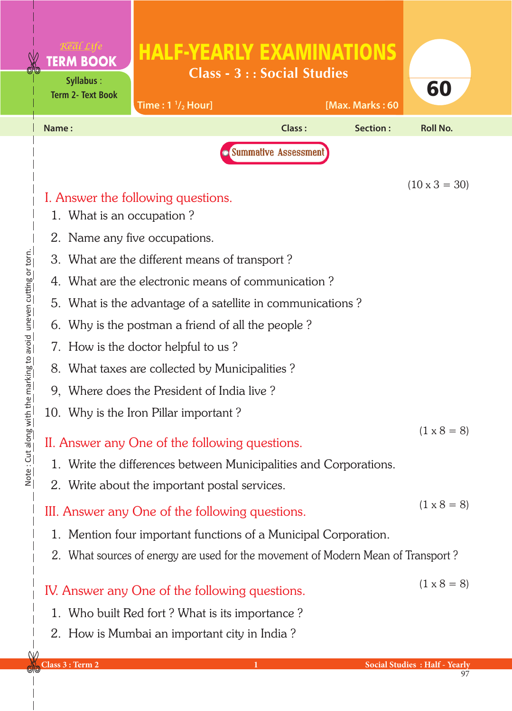|                                                                                  | <b>TERM BOOK</b><br><b>Syllabus:</b><br><b>Term 2- Text Book</b>                                                                                                                                                                                         | <b>HALF-YEARLY EXAMINATIONS</b><br>Time: $1 \frac{1}{2}$ Hour]                                                                                                                                                                                                                                                                                                                                                                                                                                                                                                                                                                                                                                                                             | <b>Class - 3 :: Social Studies</b> | [Max. Marks: 60 | 60                                                               |
|----------------------------------------------------------------------------------|----------------------------------------------------------------------------------------------------------------------------------------------------------------------------------------------------------------------------------------------------------|--------------------------------------------------------------------------------------------------------------------------------------------------------------------------------------------------------------------------------------------------------------------------------------------------------------------------------------------------------------------------------------------------------------------------------------------------------------------------------------------------------------------------------------------------------------------------------------------------------------------------------------------------------------------------------------------------------------------------------------------|------------------------------------|-----------------|------------------------------------------------------------------|
|                                                                                  | Name:                                                                                                                                                                                                                                                    |                                                                                                                                                                                                                                                                                                                                                                                                                                                                                                                                                                                                                                                                                                                                            | <b>Class:</b>                      | Section:        | <b>Roll No.</b>                                                  |
| <u>the marking to avoid "uneven cutting or torn.</u><br>More : Chi Buola<br>More | 1. What is an occupation?<br>2. Name any five occupations.                                                                                                                                                                                               | I. Answer the following questions.<br>3. What are the different means of transport?<br>4. What are the electronic means of communication?<br>5. What is the advantage of a satellite in communications?<br>6. Why is the postman a friend of all the people?<br>7. How is the doctor helpful to us?<br>8. What taxes are collected by Municipalities?<br>9. Where does the President of India live?<br>10. Why is the Iron Pillar important?<br>II. Answer any One of the following questions.<br>1. Write the differences between Municipalities and Corporations.<br>2. Write about the important postal services.<br>III. Answer any One of the following questions.<br>1. Mention four important functions of a Municipal Corporation. | <b>Summative Assessment</b>        |                 | $(10 \times 3 = 30)$<br>$(1 \times 8 = 8)$<br>$(1 \times 8 = 8)$ |
|                                                                                  | 2. What sources of energy are used for the movement of Modern Mean of Transport?<br>IV. Answer any One of the following questions.<br>1. Who built Red fort? What is its importance?<br>2. How is Mumbai an important city in India?<br>Class 3 : Term 2 | $(1 \times 8 = 8)$<br><b>Social Studies : Half - Yearly</b>                                                                                                                                                                                                                                                                                                                                                                                                                                                                                                                                                                                                                                                                                |                                    |                 |                                                                  |

<u>elc</u>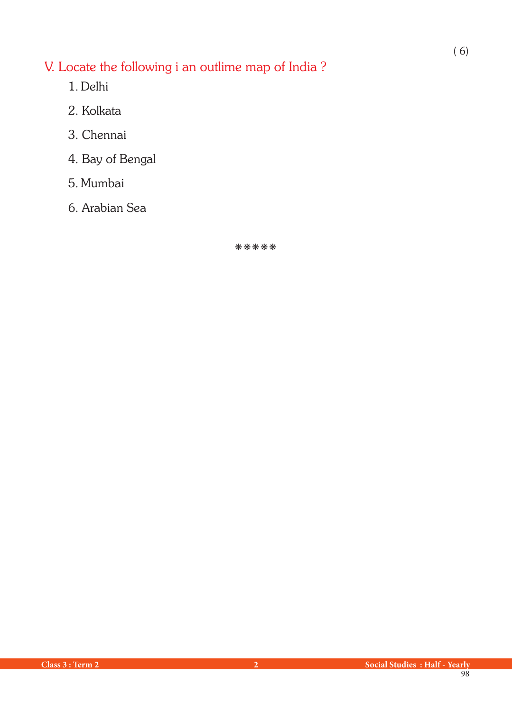## V. Locate the following i an outlime map of India ?

- 1. Delhi
- 2. Kolkata
- 3. Chennai
- 4. Bay of Bengal
- 5. Mumbai
- 6. Arabian Sea

\*\*\*\*\*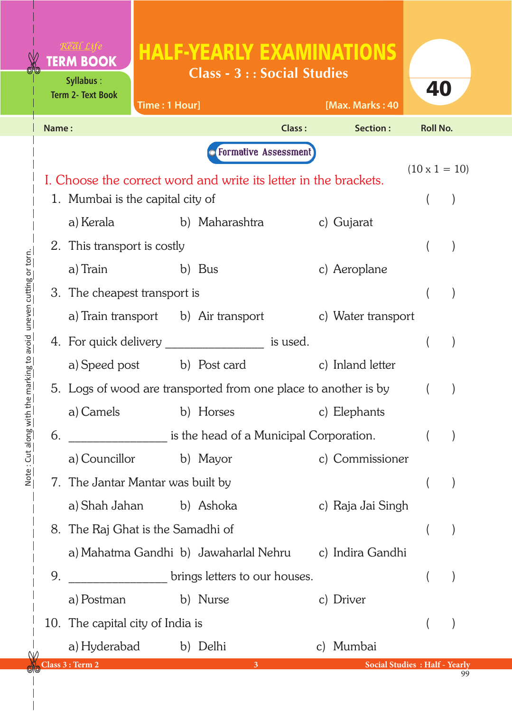|                                           |       | <b>TERM BOOK</b><br>Syllabus:<br><b>Term 2- Text Book</b>        | Time: 1 Hour] | <b>HALF-YEARLY EXAMINATIONS</b><br><b>Class - 3 :: Social Studies</b> |        | [Max. Marks: 40    | 40                                    |                      |
|-------------------------------------------|-------|------------------------------------------------------------------|---------------|-----------------------------------------------------------------------|--------|--------------------|---------------------------------------|----------------------|
|                                           | Name: |                                                                  |               |                                                                       | Class: | Section:           | <b>Roll No.</b>                       |                      |
|                                           |       |                                                                  |               | <b>O</b> Formative Assessment                                         |        |                    |                                       |                      |
|                                           |       | I. Choose the correct word and write its letter in the brackets. |               |                                                                       |        |                    |                                       | $(10 \times 1 = 10)$ |
|                                           |       | 1. Mumbai is the capital city of                                 |               |                                                                       |        |                    |                                       |                      |
|                                           |       | a) Kerala                                                        |               | b) Maharashtra                                                        |        | c) Gujarat         |                                       |                      |
|                                           |       | 2. This transport is costly                                      |               |                                                                       |        |                    |                                       |                      |
|                                           |       | a) Train                                                         |               | b) Bus                                                                |        | c) Aeroplane       |                                       |                      |
| uneven cutting or torn.                   |       | 3. The cheapest transport is                                     |               |                                                                       |        |                    |                                       |                      |
|                                           |       |                                                                  |               | a) Train transport b) Air transport                                   |        | c) Water transport |                                       |                      |
|                                           |       |                                                                  |               | 4. For quick delivery ____________________ is used.                   |        |                    |                                       |                      |
| Note: Cut along with the marking to avoid |       |                                                                  |               | a) Speed post b) Post card                                            |        | c) Inland letter   |                                       |                      |
|                                           |       | 5. Logs of wood are transported from one place to another is by  |               |                                                                       |        |                    |                                       |                      |
|                                           |       | a) Camels                                                        |               | b) Horses                                                             |        | c) Elephants       |                                       |                      |
|                                           | 6.    | is the head of a Municipal Corporation.                          |               |                                                                       |        |                    |                                       |                      |
|                                           |       | a) Councillor                                                    |               | b) Mayor                                                              |        | c) Commissioner    |                                       |                      |
|                                           |       | 7. The Jantar Mantar was built by                                |               |                                                                       |        |                    |                                       |                      |
|                                           |       | a) Shah Jahan b) Ashoka                                          |               |                                                                       |        | c) Raja Jai Singh  |                                       |                      |
|                                           |       | 8. The Raj Ghat is the Samadhi of                                |               |                                                                       |        |                    |                                       |                      |
|                                           |       |                                                                  |               | a) Mahatma Gandhi b) Jawaharlal Nehru                                 |        | c) Indira Gandhi   |                                       |                      |
|                                           | 9.    |                                                                  |               | brings letters to our houses.                                         |        |                    |                                       |                      |
|                                           |       | a) Postman                                                       |               | b) Nurse                                                              |        | c) Driver          |                                       |                      |
|                                           |       | 10. The capital city of India is                                 |               |                                                                       |        |                    |                                       |                      |
|                                           |       | a) Hyderabad                                                     |               | b) Delhi                                                              |        | c) Mumbai          |                                       |                      |
|                                           |       | Class 3 : Term 2                                                 |               | $\mathbf{3}$                                                          |        |                    | <b>Social Studies : Half - Yearly</b> |                      |

99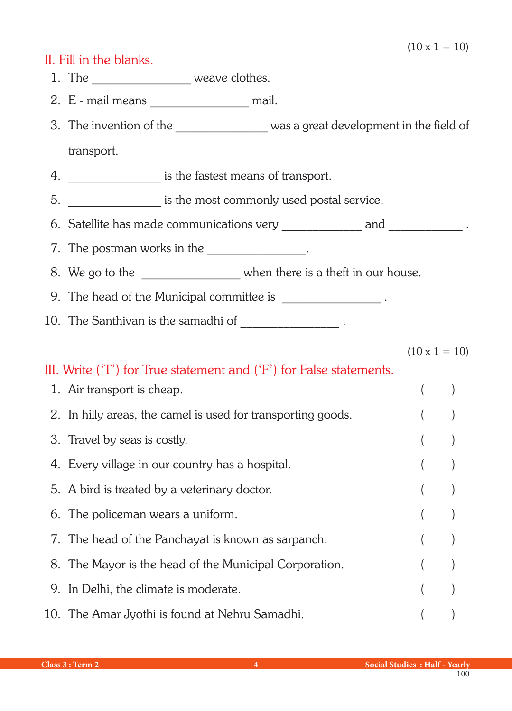## II. Fill in the blanks.

- 1. The weave clothes.
- 2. E mail means \_\_\_\_\_\_\_\_\_\_\_\_\_\_\_\_ mail.
- 3. The invention of the \_\_\_\_\_\_\_\_\_\_\_\_\_\_\_\_\_ was a great development in the field of transport.
- 4. \_\_\_\_\_\_\_\_\_\_\_\_\_\_\_ is the fastest means of transport.
- 5. \_\_\_\_\_\_\_\_\_\_\_\_\_\_\_ is the most commonly used postal service.
- 6. Satellite has made communications very \_\_\_\_\_\_\_\_\_\_\_\_\_ and \_\_\_\_\_\_\_\_\_\_\_\_\_\_.
- 7. The postman works in the \_\_\_\_\_\_\_\_\_\_\_\_\_\_\_.
- 8. We go to the \_\_\_\_\_\_\_\_\_\_\_\_\_\_\_ when there is a theft in our house.
- 9. The head of the Municipal committee is
- 10. The Santhivan is the samadhi of \_\_\_\_\_\_\_\_\_\_\_\_\_\_\_\_\_\_\_\_.

 $(10 \times 1 = 10)$ 

## III. Write ('T') for True statement and ('F') for False statements.

| 1. Air transport is cheap.                                   |  |
|--------------------------------------------------------------|--|
| 2. In hilly areas, the camel is used for transporting goods. |  |
| 3. Travel by seas is costly.                                 |  |
| 4. Every village in our country has a hospital.              |  |
| 5. A bird is treated by a veterinary doctor.                 |  |
| 6. The policeman wears a uniform.                            |  |
| 7. The head of the Panchayat is known as sarpanch.           |  |
| 8. The Mayor is the head of the Municipal Corporation.       |  |
| 9. In Delhi, the climate is moderate.                        |  |
| 10. The Amar Jyothi is found at Nehru Samadhi.               |  |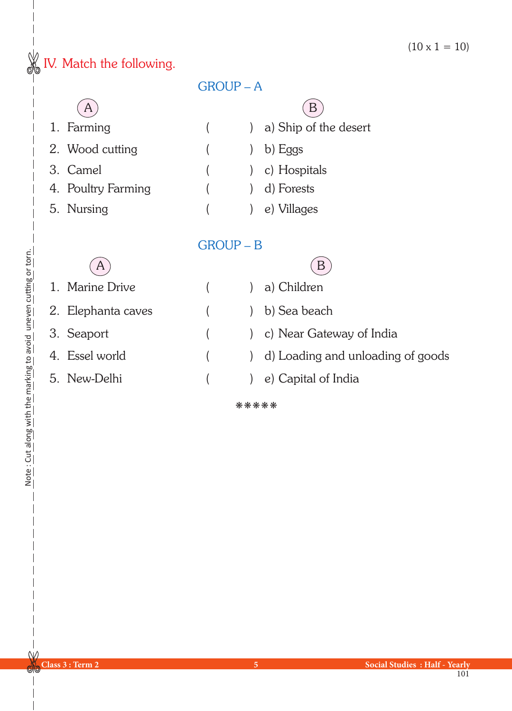$(10 \times 1 = 10)$ 

## **W** IV. Match the following.

| <b>GROUP-A</b>     |                |                                   |  |
|--------------------|----------------|-----------------------------------|--|
| A                  |                | B                                 |  |
| 1. Farming         |                | a) Ship of the desert             |  |
| 2. Wood cutting    |                | b) Eggs                           |  |
| 3. Camel           |                | c) Hospitals                      |  |
| 4. Poultry Farming |                | d) Forests                        |  |
| 5. Nursing         |                | e) Villages                       |  |
|                    |                |                                   |  |
|                    | <b>GROUP-B</b> |                                   |  |
| A                  |                | B                                 |  |
| 1. Marine Drive    |                | a) Children                       |  |
| 2. Elephanta caves |                | b) Sea beach                      |  |
| 3. Seaport         |                | c) Near Gateway of India          |  |
| 4. Essel world     |                | d) Loading and unloading of goods |  |
| 5. New-Delhi       |                | e) Capital of India               |  |

kkkkk

Note: Cut along with the marking to avoid uneven cutting or torn. Note : Cut along with the marking to avoid uneven cutting or torn.

 $W$